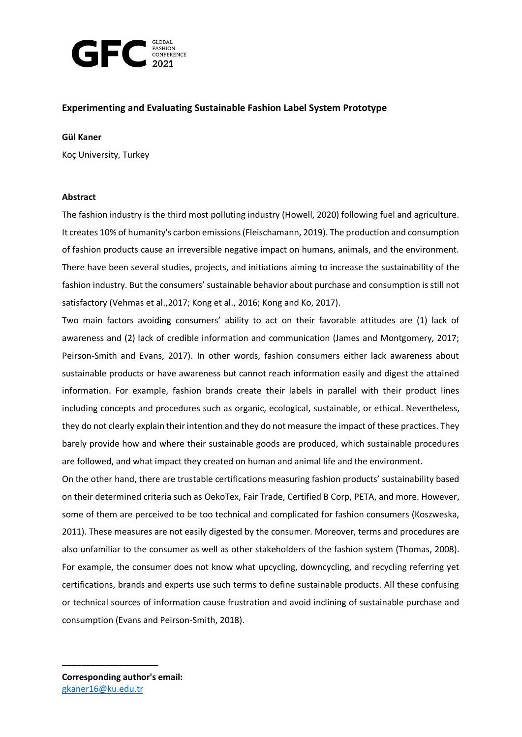

# **Experimenting and Evaluating Sustainable Fashion Label System Prototype**

## **Gül Kaner**

Koç University, Turkey

# **Abstract**

The fashion industry is the third most polluting industry (Howell, 2020) following fuel and agriculture. It creates 10% of humanity's carbon emissions (Fleischamann, 2019). The production and consumption of fashion products cause an irreversible negative impact on humans, animals, and the environment. There have been several studies, projects, and initiations aiming to increase the sustainability of the fashion industry. But the consumers' sustainable behavior about purchase and consumption is still not satisfactory (Vehmas et al.,2017; Kong et al., 2016; Kong and Ko, 2017).

Two main factors avoiding consumers' ability to act on their favorable attitudes are (1) lack of awareness and (2) lack of credible information and communication (James and Montgomery, 2017; Peirson-Smith and Evans, 2017). In other words, fashion consumers either lack awareness about sustainable products or have awareness but cannot reach information easily and digest the attained information. For example, fashion brands create their labels in parallel with their product lines including concepts and procedures such as organic, ecological, sustainable, or ethical. Nevertheless, they do not clearly explain their intention and they do not measure the impact of these practices. They barely provide how and where their sustainable goods are produced, which sustainable procedures are followed, and what impact they created on human and animal life and the environment.

On the other hand, there are trustable certifications measuring fashion products' sustainability based on their determined criteria such as OekoTex, Fair Trade, Certified B Corp, PETA, and more. However, some of them are perceived to be too technical and complicated for fashion consumers (Koszweska, 2011). These measures are not easily digested by the consumer. Moreover, terms and procedures are also unfamiliar to the consumer as well as other stakeholders of the fashion system (Thomas, 2008). For example, the consumer does not know what upcycling, downcycling, and recycling referring yet certifications, brands and experts use such terms to define sustainable products. All these confusing or technical sources of information cause frustration and avoid inclining of sustainable purchase and consumption (Evans and Peirson-Smith, 2018).

**\_\_\_\_\_\_\_\_\_\_\_\_\_\_\_\_\_\_\_\_**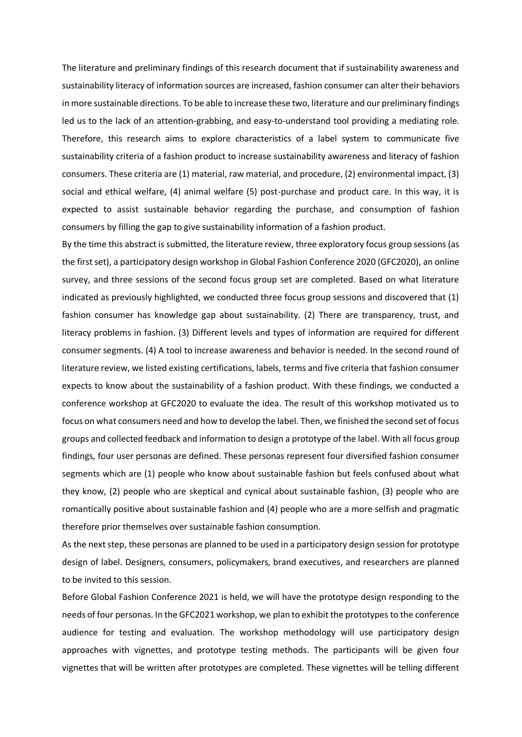The literature and preliminary findings of this research document that if sustainability awareness and sustainability literacy of information sources are increased, fashion consumer can alter their behaviors in more sustainable directions. To be able to increase these two, literature and our preliminary findings led us to the lack of an attention-grabbing, and easy-to-understand tool providing a mediating role. Therefore, this research aims to explore characteristics of a label system to communicate five sustainability criteria of a fashion product to increase sustainability awareness and literacy of fashion consumers. These criteria are (1) material, raw material, and procedure, (2) environmental impact, (3) social and ethical welfare, (4) animal welfare (5) post-purchase and product care. In this way, it is expected to assist sustainable behavior regarding the purchase, and consumption of fashion consumers by filling the gap to give sustainability information of a fashion product.

By the time this abstract is submitted, the literature review, three exploratory focus group sessions (as the first set), a participatory design workshop in Global Fashion Conference 2020 (GFC2020), an online survey, and three sessions of the second focus group set are completed. Based on what literature indicated as previously highlighted, we conducted three focus group sessions and discovered that (1) fashion consumer has knowledge gap about sustainability. (2) There are transparency, trust, and literacy problems in fashion. (3) Different levels and types of information are required for different consumer segments. (4) A tool to increase awareness and behavior is needed. In the second round of literature review, we listed existing certifications, labels, terms and five criteria that fashion consumer expects to know about the sustainability of a fashion product. With these findings, we conducted a conference workshop at GFC2020 to evaluate the idea. The result of this workshop motivated us to focus on what consumers need and how to develop the label. Then, we finished the second set of focus groups and collected feedback and information to design a prototype of the label. With all focus group findings, four user personas are defined. These personas represent four diversified fashion consumer segments which are (1) people who know about sustainable fashion but feels confused about what they know, (2) people who are skeptical and cynical about sustainable fashion, (3) people who are romantically positive about sustainable fashion and (4) people who are a more selfish and pragmatic therefore prior themselves over sustainable fashion consumption.

As the next step, these personas are planned to be used in a participatory design session for prototype design of label. Designers, consumers, policymakers, brand executives, and researchers are planned to be invited to this session.

Before Global Fashion Conference 2021 is held, we will have the prototype design responding to the needs of four personas. In the GFC2021 workshop, we plan to exhibit the prototypes to the conference audience for testing and evaluation. The workshop methodology will use participatory design approaches with vignettes, and prototype testing methods. The participants will be given four vignettes that will be written after prototypes are completed. These vignettes will be telling different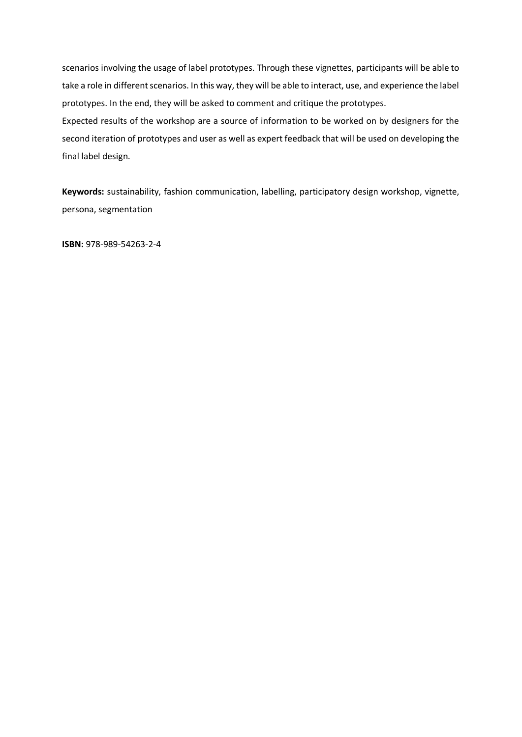scenarios involving the usage of label prototypes. Through these vignettes, participants will be able to take a role in different scenarios. In this way, they will be able to interact, use, and experience the label prototypes. In the end, they will be asked to comment and critique the prototypes. Expected results of the workshop are a source of information to be worked on by designers for the

second iteration of prototypes and user as well as expert feedback that will be used on developing the final label design.

**Keywords:** sustainability, fashion communication, labelling, participatory design workshop, vignette, persona, segmentation

**ISBN:** 978-989-54263-2-4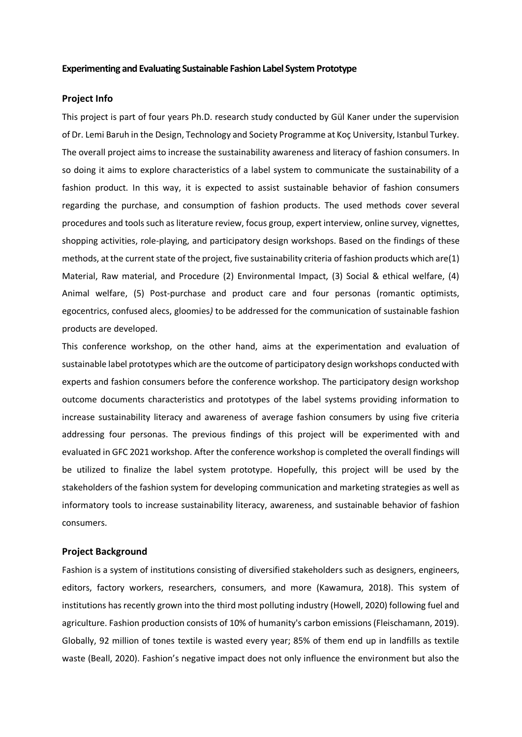#### **Experimenting and Evaluating Sustainable Fashion Label System Prototype**

## **Project Info**

This project is part of four years Ph.D. research study conducted by Gül Kaner under the supervision of Dr. Lemi Baruh in the Design, Technology and Society Programme at Koç University, Istanbul Turkey. The overall project aims to increase the sustainability awareness and literacy of fashion consumers. In so doing it aims to explore characteristics of a label system to communicate the sustainability of a fashion product. In this way, it is expected to assist sustainable behavior of fashion consumers regarding the purchase, and consumption of fashion products. The used methods cover several procedures and tools such as literature review, focus group, expert interview, online survey, vignettes, shopping activities, role-playing, and participatory design workshops. Based on the findings of these methods, at the current state of the project, five sustainability criteria of fashion products which are(1) Material, Raw material, and Procedure (2) Environmental Impact, (3) Social & ethical welfare, (4) Animal welfare, (5) Post-purchase and product care and four personas (romantic optimists, egocentrics, confused alecs, gloomies*)* to be addressed for the communication of sustainable fashion products are developed.

This conference workshop, on the other hand, aims at the experimentation and evaluation of sustainable label prototypes which are the outcome of participatory design workshops conducted with experts and fashion consumers before the conference workshop. The participatory design workshop outcome documents characteristics and prototypes of the label systems providing information to increase sustainability literacy and awareness of average fashion consumers by using five criteria addressing four personas. The previous findings of this project will be experimented with and evaluated in GFC 2021 workshop. After the conference workshop is completed the overall findings will be utilized to finalize the label system prototype. Hopefully, this project will be used by the stakeholders of the fashion system for developing communication and marketing strategies as well as informatory tools to increase sustainability literacy, awareness, and sustainable behavior of fashion consumers.

# **Project Background**

Fashion is a system of institutions consisting of diversified stakeholders such as designers, engineers, editors, factory workers, researchers, consumers, and more (Kawamura, 2018). This system of institutions has recently grown into the third most polluting industry (Howell, 2020) following fuel and agriculture. Fashion production consists of 10% of humanity's carbon emissions (Fleischamann, 2019). Globally, 92 million of tones textile is wasted every year; 85% of them end up in landfills as textile waste (Beall, 2020). Fashion's negative impact does not only influence the environment but also the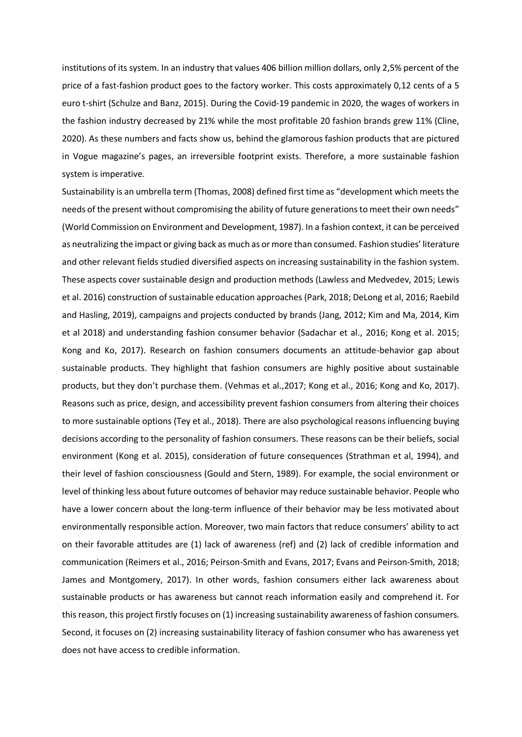institutions of its system. In an industry that values 406 billion million dollars, only 2,5% percent of the price of a fast-fashion product goes to the factory worker. This costs approximately 0,12 cents of a 5 euro t-shirt (Schulze and Banz, 2015). During the Covid-19 pandemic in 2020, the wages of workers in the fashion industry decreased by 21% while the most profitable 20 fashion brands grew 11% (Cline, 2020). As these numbers and facts show us, behind the glamorous fashion products that are pictured in Vogue magazine's pages, an irreversible footprint exists. Therefore, a more sustainable fashion system is imperative.

Sustainability is an umbrella term (Thomas, 2008) defined first time as "development which meets the needs of the present without compromising the ability of future generations to meet their own needs" (World Commission on Environment and Development, 1987). In a fashion context, it can be perceived as neutralizing the impact or giving back as much as or more than consumed. Fashion studies' literature and other relevant fields studied diversified aspects on increasing sustainability in the fashion system. These aspects cover sustainable design and production methods (Lawless and Medvedev, 2015; Lewis et al. 2016) construction of sustainable education approaches (Park, 2018; DeLong et al, 2016; Raebild and Hasling, 2019), campaigns and projects conducted by brands (Jang, 2012; Kim and Ma, 2014, Kim et al 2018) and understanding fashion consumer behavior (Sadachar et al., 2016; Kong et al. 2015; Kong and Ko, 2017). Research on fashion consumers documents an attitude-behavior gap about sustainable products. They highlight that fashion consumers are highly positive about sustainable products, but they don't purchase them. (Vehmas et al.,2017; Kong et al., 2016; Kong and Ko, 2017). Reasons such as price, design, and accessibility prevent fashion consumers from altering their choices to more sustainable options (Tey et al., 2018). There are also psychological reasons influencing buying decisions according to the personality of fashion consumers. These reasons can be their beliefs, social environment (Kong et al. 2015), consideration of future consequences (Strathman et al, 1994), and their level of fashion consciousness (Gould and Stern, 1989). For example, the social environment or level of thinking less about future outcomes of behavior may reduce sustainable behavior. People who have a lower concern about the long-term influence of their behavior may be less motivated about environmentally responsible action. Moreover, two main factors that reduce consumers' ability to act on their favorable attitudes are (1) lack of awareness (ref) and (2) lack of credible information and communication (Reimers et al., 2016; Peirson-Smith and Evans, 2017; Evans and Peirson-Smith, 2018; James and Montgomery, 2017). In other words, fashion consumers either lack awareness about sustainable products or has awareness but cannot reach information easily and comprehend it. For this reason, this project firstly focuses on (1) increasing sustainability awareness of fashion consumers. Second, it focuses on (2) increasing sustainability literacy of fashion consumer who has awareness yet does not have access to credible information.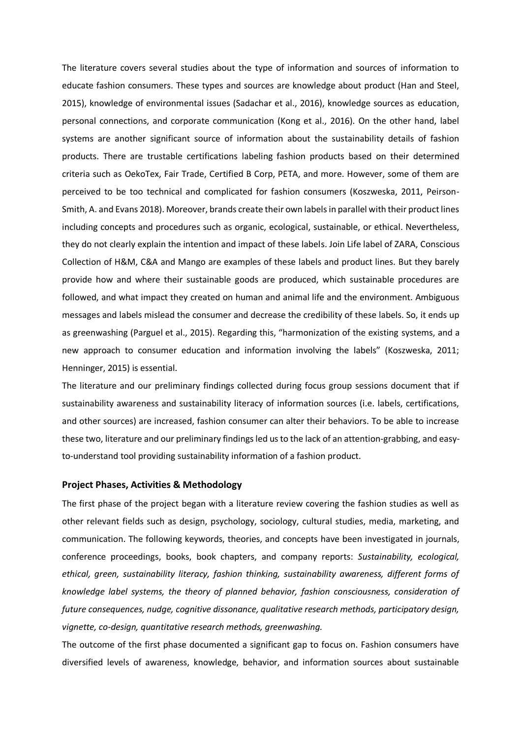The literature covers several studies about the type of information and sources of information to educate fashion consumers. These types and sources are knowledge about product (Han and Steel, 2015), knowledge of environmental issues (Sadachar et al., 2016), knowledge sources as education, personal connections, and corporate communication (Kong et al., 2016). On the other hand, label systems are another significant source of information about the sustainability details of fashion products. There are trustable certifications labeling fashion products based on their determined criteria such as OekoTex, Fair Trade, Certified B Corp, PETA, and more. However, some of them are perceived to be too technical and complicated for fashion consumers (Koszweska, 2011, Peirson-Smith, A. and Evans 2018). Moreover, brands create their own labels in parallel with their product lines including concepts and procedures such as organic, ecological, sustainable, or ethical. Nevertheless, they do not clearly explain the intention and impact of these labels. Join Life label of ZARA, Conscious Collection of H&M, C&A and Mango are examples of these labels and product lines. But they barely provide how and where their sustainable goods are produced, which sustainable procedures are followed, and what impact they created on human and animal life and the environment. Ambiguous messages and labels mislead the consumer and decrease the credibility of these labels. So, it ends up as greenwashing (Parguel et al., 2015). Regarding this, "harmonization of the existing systems, and a new approach to consumer education and information involving the labels" (Koszweska, 2011; Henninger, 2015) is essential.

The literature and our preliminary findings collected during focus group sessions document that if sustainability awareness and sustainability literacy of information sources (i.e. labels, certifications, and other sources) are increased, fashion consumer can alter their behaviors. To be able to increase these two, literature and our preliminary findings led us to the lack of an attention-grabbing, and easyto-understand tool providing sustainability information of a fashion product.

# **Project Phases, Activities & Methodology**

The first phase of the project began with a literature review covering the fashion studies as well as other relevant fields such as design, psychology, sociology, cultural studies, media, marketing, and communication. The following keywords, theories, and concepts have been investigated in journals, conference proceedings, books, book chapters, and company reports: *Sustainability, ecological, ethical, green, sustainability literacy, fashion thinking, sustainability awareness, different forms of knowledge label systems, the theory of planned behavior, fashion consciousness, consideration of future consequences, nudge, cognitive dissonance, qualitative research methods, participatory design, vignette, co-design, quantitative research methods, greenwashing.* 

The outcome of the first phase documented a significant gap to focus on. Fashion consumers have diversified levels of awareness, knowledge, behavior, and information sources about sustainable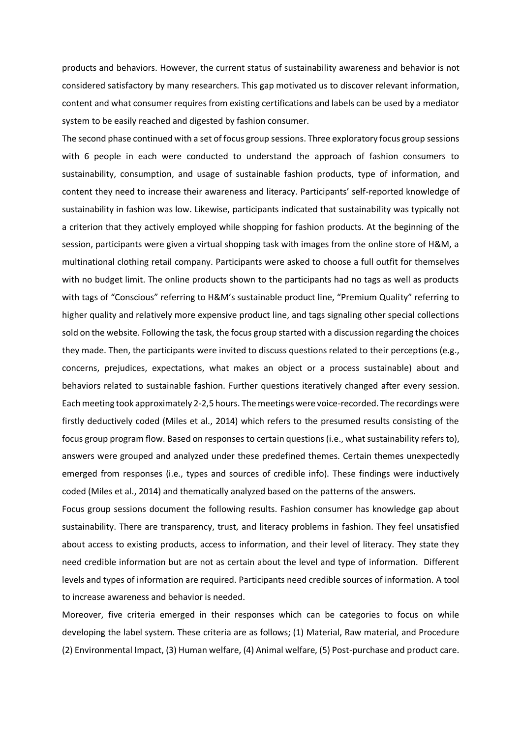products and behaviors. However, the current status of sustainability awareness and behavior is not considered satisfactory by many researchers. This gap motivated us to discover relevant information, content and what consumer requires from existing certifications and labels can be used by a mediator system to be easily reached and digested by fashion consumer.

The second phase continued with a set of focus group sessions. Three exploratory focus group sessions with 6 people in each were conducted to understand the approach of fashion consumers to sustainability, consumption, and usage of sustainable fashion products, type of information, and content they need to increase their awareness and literacy. Participants' self-reported knowledge of sustainability in fashion was low. Likewise, participants indicated that sustainability was typically not a criterion that they actively employed while shopping for fashion products. At the beginning of the session, participants were given a virtual shopping task with images from the online store of H&M, a multinational clothing retail company. Participants were asked to choose a full outfit for themselves with no budget limit. The online products shown to the participants had no tags as well as products with tags of "Conscious" referring to H&M's sustainable product line, "Premium Quality" referring to higher quality and relatively more expensive product line, and tags signaling other special collections sold on the website. Following the task, the focus group started with a discussion regarding the choices they made. Then, the participants were invited to discuss questions related to their perceptions (e.g., concerns, prejudices, expectations, what makes an object or a process sustainable) about and behaviors related to sustainable fashion. Further questions iteratively changed after every session. Each meeting took approximately 2-2,5 hours. The meetings were voice-recorded. The recordings were firstly deductively coded (Miles et al., 2014) which refers to the presumed results consisting of the focus group program flow. Based on responses to certain questions (i.e., what sustainability refers to), answers were grouped and analyzed under these predefined themes. Certain themes unexpectedly emerged from responses (i.e., types and sources of credible info). These findings were inductively coded (Miles et al., 2014) and thematically analyzed based on the patterns of the answers.

Focus group sessions document the following results. Fashion consumer has knowledge gap about sustainability. There are transparency, trust, and literacy problems in fashion. They feel unsatisfied about access to existing products, access to information, and their level of literacy. They state they need credible information but are not as certain about the level and type of information. Different levels and types of information are required. Participants need credible sources of information. A tool to increase awareness and behavior is needed.

Moreover, five criteria emerged in their responses which can be categories to focus on while developing the label system. These criteria are as follows; (1) Material, Raw material, and Procedure (2) Environmental Impact, (3) Human welfare, (4) Animal welfare, (5) Post-purchase and product care.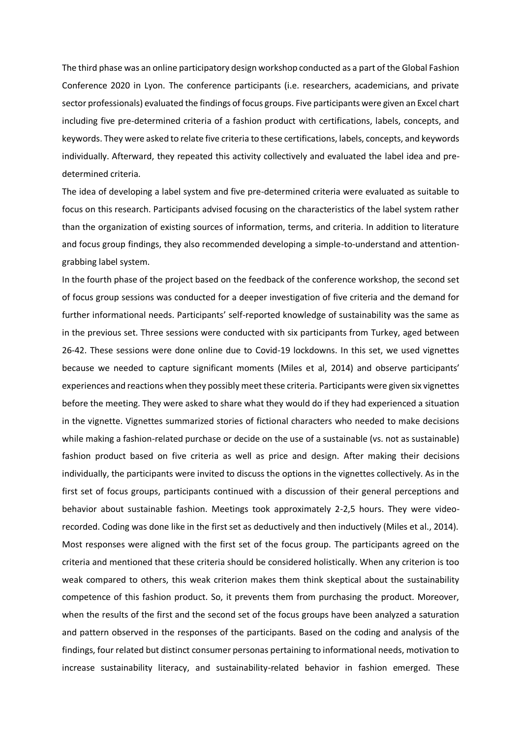The third phase was an online participatory design workshop conducted as a part of the Global Fashion Conference 2020 in Lyon. The conference participants (i.e. researchers, academicians, and private sector professionals) evaluated the findings of focus groups. Five participants were given an Excel chart including five pre-determined criteria of a fashion product with certifications, labels, concepts, and keywords. They were asked to relate five criteria to these certifications, labels, concepts, and keywords individually. Afterward, they repeated this activity collectively and evaluated the label idea and predetermined criteria.

The idea of developing a label system and five pre-determined criteria were evaluated as suitable to focus on this research. Participants advised focusing on the characteristics of the label system rather than the organization of existing sources of information, terms, and criteria. In addition to literature and focus group findings, they also recommended developing a simple-to-understand and attentiongrabbing label system.

In the fourth phase of the project based on the feedback of the conference workshop, the second set of focus group sessions was conducted for a deeper investigation of five criteria and the demand for further informational needs. Participants' self-reported knowledge of sustainability was the same as in the previous set. Three sessions were conducted with six participants from Turkey, aged between 26-42. These sessions were done online due to Covid-19 lockdowns. In this set, we used vignettes because we needed to capture significant moments (Miles et al, 2014) and observe participants' experiences and reactions when they possibly meet these criteria. Participants were given six vignettes before the meeting. They were asked to share what they would do if they had experienced a situation in the vignette. Vignettes summarized stories of fictional characters who needed to make decisions while making a fashion-related purchase or decide on the use of a sustainable (vs. not as sustainable) fashion product based on five criteria as well as price and design. After making their decisions individually, the participants were invited to discuss the options in the vignettes collectively. As in the first set of focus groups, participants continued with a discussion of their general perceptions and behavior about sustainable fashion. Meetings took approximately 2-2,5 hours. They were videorecorded. Coding was done like in the first set as deductively and then inductively (Miles et al., 2014). Most responses were aligned with the first set of the focus group. The participants agreed on the criteria and mentioned that these criteria should be considered holistically. When any criterion is too weak compared to others, this weak criterion makes them think skeptical about the sustainability competence of this fashion product. So, it prevents them from purchasing the product. Moreover, when the results of the first and the second set of the focus groups have been analyzed a saturation and pattern observed in the responses of the participants. Based on the coding and analysis of the findings, four related but distinct consumer personas pertaining to informational needs, motivation to increase sustainability literacy, and sustainability-related behavior in fashion emerged. These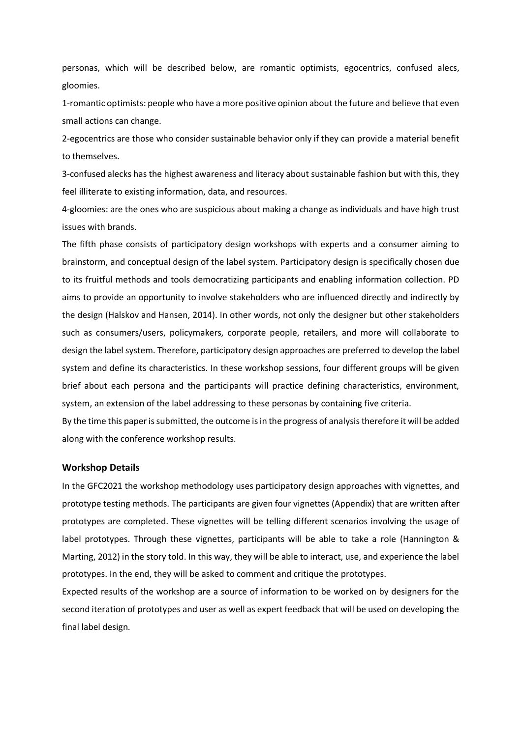personas, which will be described below, are romantic optimists, egocentrics, confused alecs, gloomies.

1-romantic optimists: people who have a more positive opinion about the future and believe that even small actions can change.

2-egocentrics are those who consider sustainable behavior only if they can provide a material benefit to themselves.

3-confused alecks has the highest awareness and literacy about sustainable fashion but with this, they feel illiterate to existing information, data, and resources.

4-gloomies: are the ones who are suspicious about making a change as individuals and have high trust issues with brands.

The fifth phase consists of participatory design workshops with experts and a consumer aiming to brainstorm, and conceptual design of the label system. Participatory design is specifically chosen due to its fruitful methods and tools democratizing participants and enabling information collection. PD aims to provide an opportunity to involve stakeholders who are influenced directly and indirectly by the design (Halskov and Hansen, 2014). In other words, not only the designer but other stakeholders such as consumers/users, policymakers, corporate people, retailers, and more will collaborate to design the label system. Therefore, participatory design approaches are preferred to develop the label system and define its characteristics. In these workshop sessions, four different groups will be given brief about each persona and the participants will practice defining characteristics, environment, system, an extension of the label addressing to these personas by containing five criteria.

By the time this paper is submitted, the outcome is in the progress of analysis therefore it will be added along with the conference workshop results.

# **Workshop Details**

In the GFC2021 the workshop methodology uses participatory design approaches with vignettes, and prototype testing methods. The participants are given four vignettes (Appendix) that are written after prototypes are completed. These vignettes will be telling different scenarios involving the usage of label prototypes. Through these vignettes, participants will be able to take a role (Hannington & Marting, 2012) in the story told. In this way, they will be able to interact, use, and experience the label prototypes. In the end, they will be asked to comment and critique the prototypes.

Expected results of the workshop are a source of information to be worked on by designers for the second iteration of prototypes and user as well as expert feedback that will be used on developing the final label design.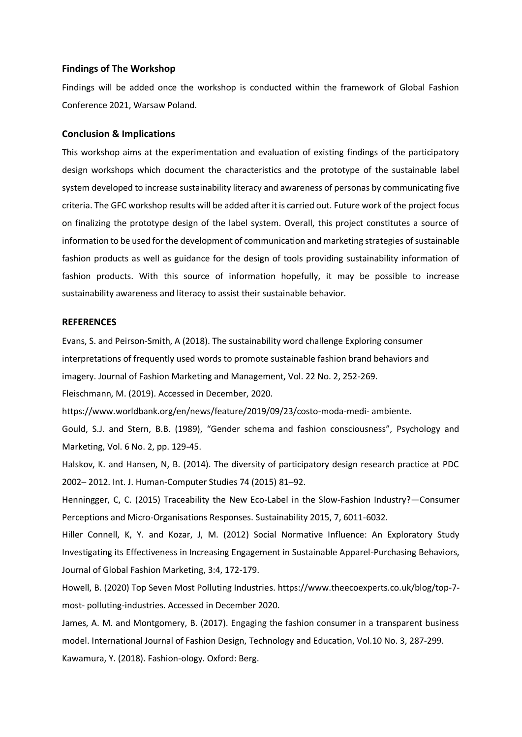### **Findings of The Workshop**

Findings will be added once the workshop is conducted within the framework of Global Fashion Conference 2021, Warsaw Poland.

#### **Conclusion & Implications**

This workshop aims at the experimentation and evaluation of existing findings of the participatory design workshops which document the characteristics and the prototype of the sustainable label system developed to increase sustainability literacy and awareness of personas by communicating five criteria. The GFC workshop results will be added after it is carried out. Future work of the project focus on finalizing the prototype design of the label system. Overall, this project constitutes a source of information to be used for the development of communication and marketing strategies of sustainable fashion products as well as guidance for the design of tools providing sustainability information of fashion products. With this source of information hopefully, it may be possible to increase sustainability awareness and literacy to assist their sustainable behavior.

# **REFERENCES**

Evans, S. and Peirson-Smith, A (2018). The sustainability word challenge Exploring consumer interpretations of frequently used words to promote sustainable fashion brand behaviors and imagery. Journal of Fashion Marketing and Management, Vol. 22 No. 2, 252-269.

Fleischmann, M. (2019). Accessed in December, 2020.

https://www.worldbank.org/en/news/feature/2019/09/23/costo-moda-medi- ambiente.

Gould, S.J. and Stern, B.B. (1989), "Gender schema and fashion consciousness", Psychology and Marketing, Vol. 6 No. 2, pp. 129-45.

Halskov, K. and Hansen, N, B. (2014). The diversity of participatory design research practice at PDC 2002– 2012. Int. J. Human-Computer Studies 74 (2015) 81–92.

Henningger, C, C. (2015) Traceability the New Eco-Label in the Slow-Fashion Industry?—Consumer Perceptions and Micro-Organisations Responses. Sustainability 2015, 7, 6011-6032.

Hiller Connell, K, Y. and Kozar, J, M. (2012) Social Normative Influence: An Exploratory Study Investigating its Effectiveness in Increasing Engagement in Sustainable Apparel-Purchasing Behaviors, Journal of Global Fashion Marketing, 3:4, 172-179.

Howell, B. (2020) Top Seven Most Polluting Industries. https://www.theecoexperts.co.uk/blog/top-7 most- polluting-industries. Accessed in December 2020.

James, A. M. and Montgomery, B. (2017). Engaging the fashion consumer in a transparent business model. International Journal of Fashion Design, Technology and Education, Vol.10 No. 3, 287-299. Kawamura, Y. (2018). Fashion-ology. Oxford: Berg.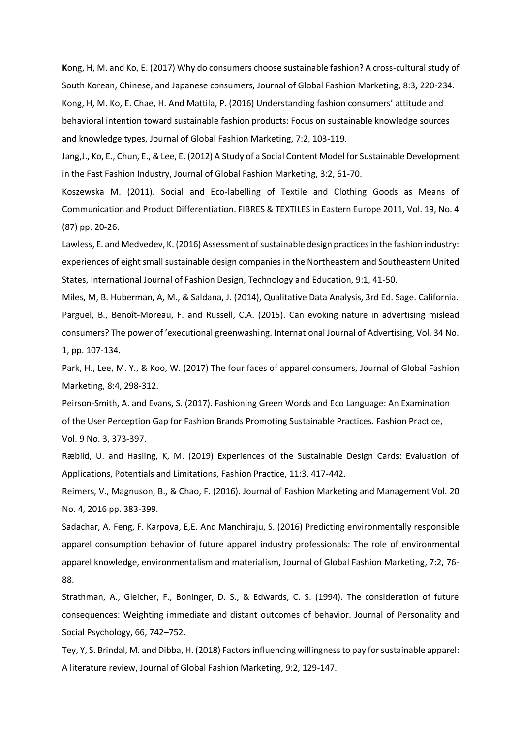**K**ong, H, M. and Ko, E. (2017) Why do consumers choose sustainable fashion? A cross-cultural study of South Korean, Chinese, and Japanese consumers, Journal of Global Fashion Marketing, 8:3, 220-234. Kong, H, M. Ko, E. Chae, H. And Mattila, P. (2016) Understanding fashion consumers' attitude and behavioral intention toward sustainable fashion products: Focus on sustainable knowledge sources and knowledge types, Journal of Global Fashion Marketing, 7:2, 103-119.

Jang,J., Ko, E., Chun, E., & Lee, E. (2012) A Study of a Social Content Model for Sustainable Development in the Fast Fashion Industry, Journal of Global Fashion Marketing, 3:2, 61-70.

Koszewska M. (2011). Social and Eco-labelling of Textile and Clothing Goods as Means of Communication and Product Differentiation. FIBRES & TEXTILES in Eastern Europe 2011, Vol. 19, No. 4 (87) pp. 20-26.

Lawless, E. and Medvedev, K. (2016) Assessment of sustainable design practices in the fashion industry: experiences of eight small sustainable design companies in the Northeastern and Southeastern United States, International Journal of Fashion Design, Technology and Education, 9:1, 41-50.

Miles, M, B. Huberman, A, M., & Saldana, J. (2014), Qualitative Data Analysis, 3rd Ed. Sage. California. Parguel, B., Benoît-Moreau, F. and Russell, C.A. (2015). Can evoking nature in advertising mislead consumers? The power of 'executional greenwashing. International Journal of Advertising, Vol. 34 No. 1, pp. 107-134.

Park, H., Lee, M. Y., & Koo, W. (2017) The four faces of apparel consumers, Journal of Global Fashion Marketing, 8:4, 298-312.

Peirson-Smith, A. and Evans, S. (2017). Fashioning Green Words and Eco Language: An Examination of the User Perception Gap for Fashion Brands Promoting Sustainable Practices. Fashion Practice, Vol. 9 No. 3, 373-397.

Ræbild, U. and Hasling, K, M. (2019) Experiences of the Sustainable Design Cards: Evaluation of Applications, Potentials and Limitations, Fashion Practice, 11:3, 417-442.

Reimers, V., Magnuson, B., & Chao, F. (2016). Journal of Fashion Marketing and Management Vol. 20 No. 4, 2016 pp. 383-399.

Sadachar, A. Feng, F. Karpova, E,E. And Manchiraju, S. (2016) Predicting environmentally responsible apparel consumption behavior of future apparel industry professionals: The role of environmental apparel knowledge, environmentalism and materialism, Journal of Global Fashion Marketing, 7:2, 76- 88.

Strathman, A., Gleicher, F., Boninger, D. S., & Edwards, C. S. (1994). The consideration of future consequences: Weighting immediate and distant outcomes of behavior. Journal of Personality and Social Psychology, 66, 742–752.

Tey, Y, S. Brindal, M. and Dibba, H. (2018) Factors influencing willingness to pay for sustainable apparel: A literature review, Journal of Global Fashion Marketing, 9:2, 129-147.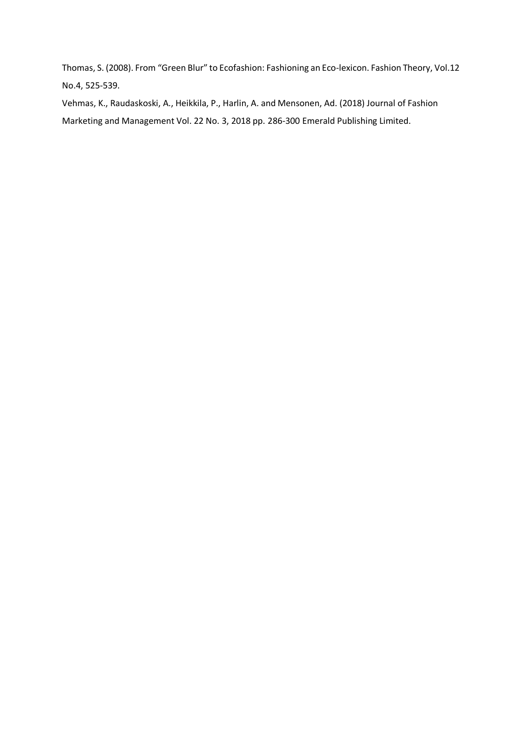Thomas, S. (2008). From "Green Blur" to Ecofashion: Fashioning an Eco-lexicon. Fashion Theory, Vol.12 No.4, 525-539.

Vehmas, K., Raudaskoski, A., Heikkila, P., Harlin, A. and Mensonen, Ad. (2018) Journal of Fashion Marketing and Management Vol. 22 No. 3, 2018 pp. 286-300 Emerald Publishing Limited.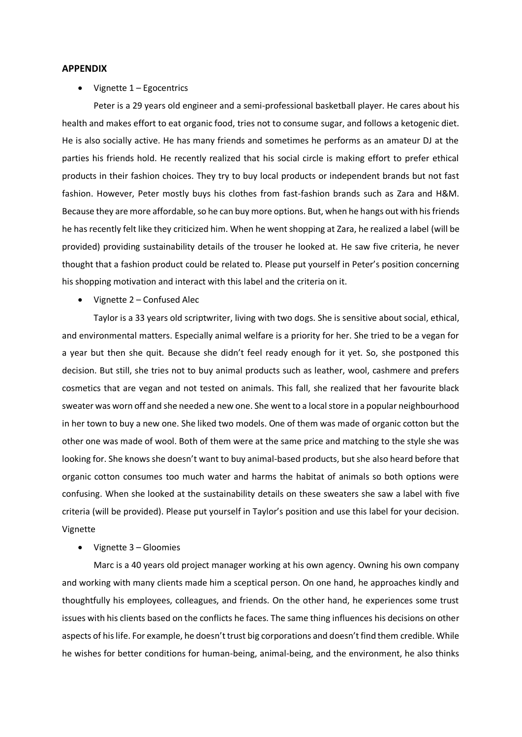## **APPENDIX**

#### • Vignette 1 – Egocentrics

Peter is a 29 years old engineer and a semi-professional basketball player. He cares about his health and makes effort to eat organic food, tries not to consume sugar, and follows a ketogenic diet. He is also socially active. He has many friends and sometimes he performs as an amateur DJ at the parties his friends hold. He recently realized that his social circle is making effort to prefer ethical products in their fashion choices. They try to buy local products or independent brands but not fast fashion. However, Peter mostly buys his clothes from fast-fashion brands such as Zara and H&M. Because they are more affordable, so he can buy more options. But, when he hangs out with his friends he has recently felt like they criticized him. When he went shopping at Zara, he realized a label (will be provided) providing sustainability details of the trouser he looked at. He saw five criteria, he never thought that a fashion product could be related to. Please put yourself in Peter's position concerning his shopping motivation and interact with this label and the criteria on it.

• Vignette 2 – Confused Alec

Taylor is a 33 years old scriptwriter, living with two dogs. She is sensitive about social, ethical, and environmental matters. Especially animal welfare is a priority for her. She tried to be a vegan for a year but then she quit. Because she didn't feel ready enough for it yet. So, she postponed this decision. But still, she tries not to buy animal products such as leather, wool, cashmere and prefers cosmetics that are vegan and not tested on animals. This fall, she realized that her favourite black sweater was worn off and she needed a new one. She went to a local store in a popular neighbourhood in her town to buy a new one. She liked two models. One of them was made of organic cotton but the other one was made of wool. Both of them were at the same price and matching to the style she was looking for. She knows she doesn't want to buy animal-based products, but she also heard before that organic cotton consumes too much water and harms the habitat of animals so both options were confusing. When she looked at the sustainability details on these sweaters she saw a label with five criteria (will be provided). Please put yourself in Taylor's position and use this label for your decision. Vignette

• Vignette 3 – Gloomies

Marc is a 40 years old project manager working at his own agency. Owning his own company and working with many clients made him a sceptical person. On one hand, he approaches kindly and thoughtfully his employees, colleagues, and friends. On the other hand, he experiences some trust issues with his clients based on the conflicts he faces. The same thing influences his decisions on other aspects of his life. For example, he doesn't trust big corporations and doesn't find them credible. While he wishes for better conditions for human-being, animal-being, and the environment, he also thinks